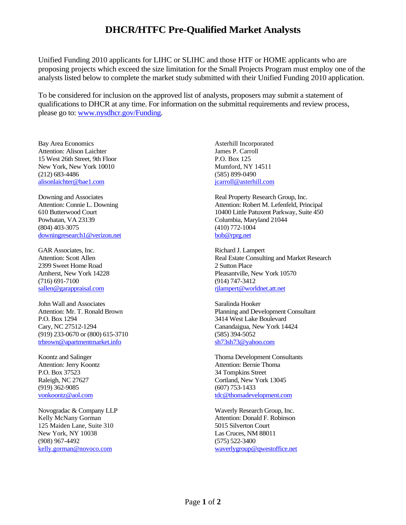## **DHCR/HTFC Pre-Qualified Market Analysts**

Unified Funding 2010 applicants for LIHC or SLIHC and those HTF or HOME applicants who are proposing projects which exceed the size limitation for the Small Projects Program must employ one of the analysts listed below to complete the market study submitted with their Unified Funding 2010 application.

To be considered for inclusion on the approved list of analysts, proposers may submit a statement of qualifications to DHCR at any time. For information on the submittal requirements and review process, please go to: [www.nysdhcr.gov/Funding.](http://www.nysdhcr.gov/Funding)

Bay Area Economics Attention: Alison Laichter 15 West 26th Street, 9th Floor New York, New York 10010 (212) 683-4486 [alisonlaichter@bae1.com](mailto:alisonlaichter@bae1.com)

Downing and Associates Attention: Connie L. Downing 610 Butterwood Court Powhatan, VA 23139 (804) 403-3075 [downingresearch1@verizon.net](mailto:downingresearch1@verizon.net)

GAR Associates, Inc. Attention: Scott Allen 2399 Sweet Home Road Amherst, New York 14228 (716) 691-7100 [sallen@garappraisal.com](mailto:sallen@garappraisal.com)

John Wall and Associates Attention: Mr. T. Ronald Brown P.O. Box 1294 Cary, NC 27512-1294 (919) 233-0670 or (800) 615-3710 [trbrown@apartmentmarket.info](mailto:trbrown@apartmentmarket.info)

Koontz and Salinger Attention: Jerry Koontz P.O. Box 37523 Raleigh, NC 27627 (919) 362-9085 [vonkoontz@aol.com](mailto:vonkoontz@aol.com)

Novogradac & Company LLP Kelly McNany Gorman 125 Maiden Lane, Suite 310 New York, NY 10038 (908) 967-4492 [kelly.gorman@novoco.com](mailto:kelly.gorman@novoco.com)

Asterhill Incorporated James P. Carroll P.O. Box 125 Mumford, NY 14511 (585) 899-0490 [jcarroll@asterhill.com](mailto:jcarroll@asterhill.com)

Real Property Research Group, Inc. Attention: Robert M. Lefenfeld, Principal 10400 Little Patuxent Parkway, Suite 450 Columbia, Maryland 21044 (410) 772-1004 [bob@rprg.net](mailto:bob@rprg.net)

Richard J. Lampert Real Estate Consulting and Market Research 2 Sutton Place Pleasantville, New York 10570 (914) 747-3412 [rjlampert@worldnet.att.net](mailto:rjlampert@worldnet.att.net)

Saralinda Hooker Planning and Development Consultant 3414 West Lake Boulevard Canandaigua, New York 14424 (585) 394-5052 [sh73sh73@yahoo.com](mailto:sh73sh73@yahoo.com)

Thoma Development Consultants Attention: Bernie Thoma 34 Tompkins Street Cortland, New York 13045 (607) 753-1433 [tdc@thomadevelopment.com](mailto:tdc@thomadevelopment.com)

Waverly Research Group, Inc. Attention: Donald F. Robinson 5015 Silverton Court Las Cruces, NM 88011 (575) 522-3400 [waverlygroup@qwestoffice.net](mailto:waverlygroup@qwestoffice.net)